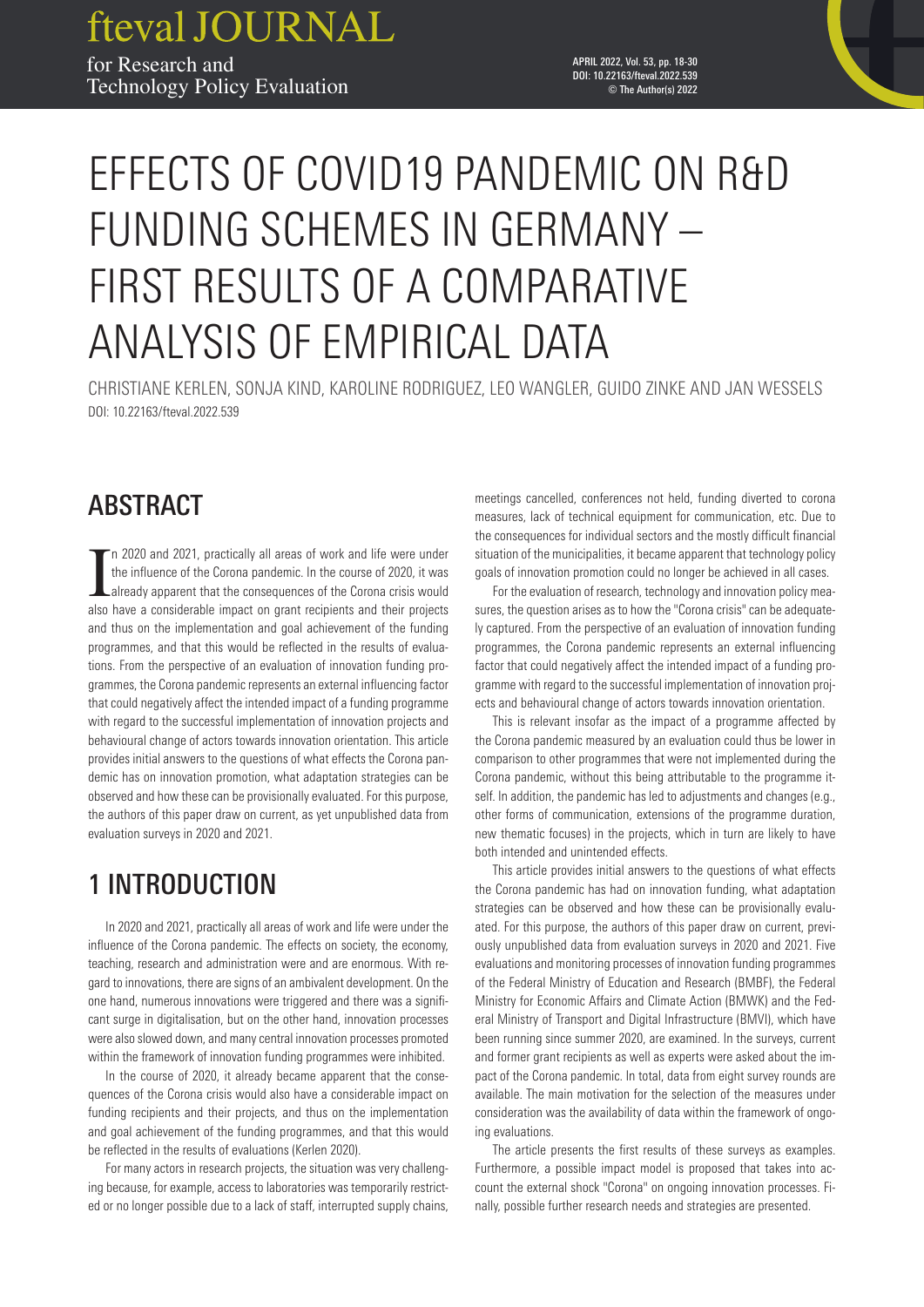fteval JOURNAL for Research and **18 ISSUE 53** | APRIL 2022 Technology Policy Evaluation

APRIL 2022, Vol. 53, pp. 18-30 DOI: 10.22163/fteval.2022.539 © The Author(s) 2022

# EFFECTS OF COVID19 PANDEMIC ON R&D FUNDING SCHEMES IN GERMANY – FIRST RESULTS OF A COMPARATIVE ANALYSIS OF EMPIRICAL DATA

CHRISTIANE KERLEN, SONJA KIND, KAROLINE RODRIGUEZ, LEO WANGLER, GUIDO ZINKE AND JAN WESSELS DOI: 10.22163/fteval.2022.539

# ABSTRACT

In 2020 and 2021, practically all areas of work and life were under the influence of the Corona pandemic. In the course of 2020, it was already apparent that the consequences of the Corona crisis would also have a consider n 2020 and 2021, practically all areas of work and life were under the influence of the Corona pandemic. In the course of 2020, it was already apparent that the consequences of the Corona crisis would and thus on the implementation and goal achievement of the funding programmes, and that this would be reflected in the results of evaluations. From the perspective of an evaluation of innovation funding programmes, the Corona pandemic represents an external influencing factor that could negatively affect the intended impact of a funding programme with regard to the successful implementation of innovation projects and behavioural change of actors towards innovation orientation. This article provides initial answers to the questions of what effects the Corona pandemic has on innovation promotion, what adaptation strategies can be observed and how these can be provisionally evaluated. For this purpose, the authors of this paper draw on current, as yet unpublished data from evaluation surveys in 2020 and 2021.

# 1 INTRODUCTION

In 2020 and 2021, practically all areas of work and life were under the influence of the Corona pandemic. The effects on society, the economy, teaching, research and administration were and are enormous. With regard to innovations, there are signs of an ambivalent development. On the one hand, numerous innovations were triggered and there was a significant surge in digitalisation, but on the other hand, innovation processes were also slowed down, and many central innovation processes promoted within the framework of innovation funding programmes were inhibited.

In the course of 2020, it already became apparent that the consequences of the Corona crisis would also have a considerable impact on funding recipients and their projects, and thus on the implementation and goal achievement of the funding programmes, and that this would be reflected in the results of evaluations (Kerlen 2020).

For many actors in research projects, the situation was very challenging because, for example, access to laboratories was temporarily restricted or no longer possible due to a lack of staff, interrupted supply chains, meetings cancelled, conferences not held, funding diverted to corona measures, lack of technical equipment for communication, etc. Due to the consequences for individual sectors and the mostly difficult financial situation of the municipalities, it became apparent that technology policy goals of innovation promotion could no longer be achieved in all cases.

For the evaluation of research, technology and innovation policy measures, the question arises as to how the "Corona crisis" can be adequately captured. From the perspective of an evaluation of innovation funding programmes, the Corona pandemic represents an external influencing factor that could negatively affect the intended impact of a funding programme with regard to the successful implementation of innovation projects and behavioural change of actors towards innovation orientation.

This is relevant insofar as the impact of a programme affected by the Corona pandemic measured by an evaluation could thus be lower in comparison to other programmes that were not implemented during the Corona pandemic, without this being attributable to the programme itself. In addition, the pandemic has led to adjustments and changes (e.g., other forms of communication, extensions of the programme duration, new thematic focuses) in the projects, which in turn are likely to have both intended and unintended effects.

This article provides initial answers to the questions of what effects the Corona pandemic has had on innovation funding, what adaptation strategies can be observed and how these can be provisionally evaluated. For this purpose, the authors of this paper draw on current, previously unpublished data from evaluation surveys in 2020 and 2021. Five evaluations and monitoring processes of innovation funding programmes of the Federal Ministry of Education and Research (BMBF), the Federal Ministry for Economic Affairs and Climate Action (BMWK) and the Federal Ministry of Transport and Digital Infrastructure (BMVI), which have been running since summer 2020, are examined. In the surveys, current and former grant recipients as well as experts were asked about the impact of the Corona pandemic. In total, data from eight survey rounds are available. The main motivation for the selection of the measures under consideration was the availability of data within the framework of ongoing evaluations.

The article presents the first results of these surveys as examples. Furthermore, a possible impact model is proposed that takes into account the external shock "Corona" on ongoing innovation processes. Finally, possible further research needs and strategies are presented.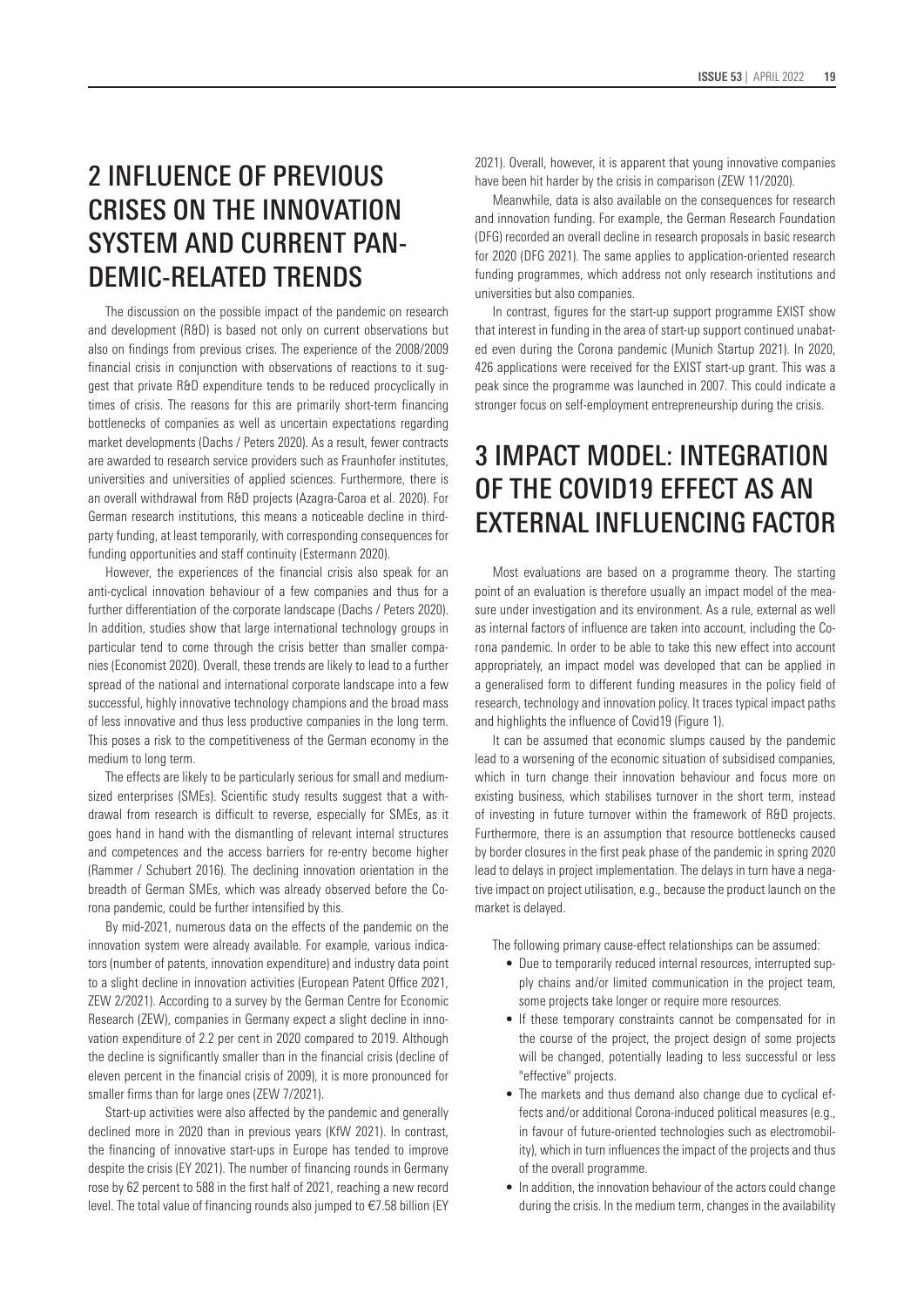# 2 INFLUENCE OF PREVIOUS CRISES ON THE INNOVATION SYSTEM AND CURRENT PAN-DEMIC-RELATED TRENDS

The discussion on the possible impact of the pandemic on research and development (R&D) is based not only on current observations but also on findings from previous crises. The experience of the 2008/2009 financial crisis in conjunction with observations of reactions to it suggest that private R&D expenditure tends to be reduced procyclically in times of crisis. The reasons for this are primarily short-term financing bottlenecks of companies as well as uncertain expectations regarding market developments (Dachs / Peters 2020). As a result, fewer contracts are awarded to research service providers such as Fraunhofer institutes, universities and universities of applied sciences. Furthermore, there is an overall withdrawal from R&D projects (Azagra-Caroa et al. 2020). For German research institutions, this means a noticeable decline in thirdparty funding, at least temporarily, with corresponding consequences for funding opportunities and staff continuity (Estermann 2020).

However, the experiences of the financial crisis also speak for an anti-cyclical innovation behaviour of a few companies and thus for a further differentiation of the corporate landscape (Dachs / Peters 2020). In addition, studies show that large international technology groups in particular tend to come through the crisis better than smaller companies (Economist 2020). Overall, these trends are likely to lead to a further spread of the national and international corporate landscape into a few successful, highly innovative technology champions and the broad mass of less innovative and thus less productive companies in the long term. This poses a risk to the competitiveness of the German economy in the medium to long term.

The effects are likely to be particularly serious for small and mediumsized enterprises (SMEs). Scientific study results suggest that a withdrawal from research is difficult to reverse, especially for SMEs, as it goes hand in hand with the dismantling of relevant internal structures and competences and the access barriers for re-entry become higher (Rammer / Schubert 2016). The declining innovation orientation in the breadth of German SMEs, which was already observed before the Corona pandemic, could be further intensified by this.

By mid-2021, numerous data on the effects of the pandemic on the innovation system were already available. For example, various indicators (number of patents, innovation expenditure) and industry data point to a slight decline in innovation activities (European Patent Office 2021, ZEW 2/2021). According to a survey by the German Centre for Economic Research (ZEW), companies in Germany expect a slight decline in innovation expenditure of 2.2 per cent in 2020 compared to 2019. Although the decline is significantly smaller than in the financial crisis (decline of eleven percent in the financial crisis of 2009), it is more pronounced for smaller firms than for large ones (ZEW 7/2021).

Start-up activities were also affected by the pandemic and generally declined more in 2020 than in previous years (KfW 2021). In contrast, the financing of innovative start-ups in Europe has tended to improve despite the crisis (EY 2021). The number of financing rounds in Germany rose by 62 percent to 588 in the first half of 2021, reaching a new record level. The total value of financing rounds also jumped to €7.58 billion (EY 2021). Overall, however, it is apparent that young innovative companies have been hit harder by the crisis in comparison (ZEW 11/2020).

Meanwhile, data is also available on the consequences for research and innovation funding. For example, the German Research Foundation (DFG) recorded an overall decline in research proposals in basic research for 2020 (DFG 2021). The same applies to application-oriented research funding programmes, which address not only research institutions and universities but also companies.

In contrast, figures for the start-up support programme EXIST show that interest in funding in the area of start-up support continued unabated even during the Corona pandemic (Munich Startup 2021). In 2020, 426 applications were received for the EXIST start-up grant. This was a peak since the programme was launched in 2007. This could indicate a stronger focus on self-employment entrepreneurship during the crisis.

# 3 IMPACT MODEL: INTEGRATION OF THE COVID19 EFFECT AS AN EXTERNAL INFLUENCING FACTOR

Most evaluations are based on a programme theory. The starting point of an evaluation is therefore usually an impact model of the measure under investigation and its environment. As a rule, external as well as internal factors of influence are taken into account, including the Corona pandemic. In order to be able to take this new effect into account appropriately, an impact model was developed that can be applied in a generalised form to different funding measures in the policy field of research, technology and innovation policy. It traces typical impact paths and highlights the influence of Covid19 (Figure 1).

It can be assumed that economic slumps caused by the pandemic lead to a worsening of the economic situation of subsidised companies, which in turn change their innovation behaviour and focus more on existing business, which stabilises turnover in the short term, instead of investing in future turnover within the framework of R&D projects. Furthermore, there is an assumption that resource bottlenecks caused by border closures in the first peak phase of the pandemic in spring 2020 lead to delays in project implementation. The delays in turn have a negative impact on project utilisation, e.g., because the product launch on the market is delayed.

The following primary cause-effect relationships can be assumed:

- Due to temporarily reduced internal resources, interrupted supply chains and/or limited communication in the project team, some projects take longer or require more resources.
- If these temporary constraints cannot be compensated for in the course of the project, the project design of some projects will be changed, potentially leading to less successful or less "effective" projects.
- The markets and thus demand also change due to cyclical effects and/or additional Corona-induced political measures (e.g., in favour of future-oriented technologies such as electromobility), which in turn influences the impact of the projects and thus of the overall programme.
- In addition, the innovation behaviour of the actors could change during the crisis. In the medium term, changes in the availability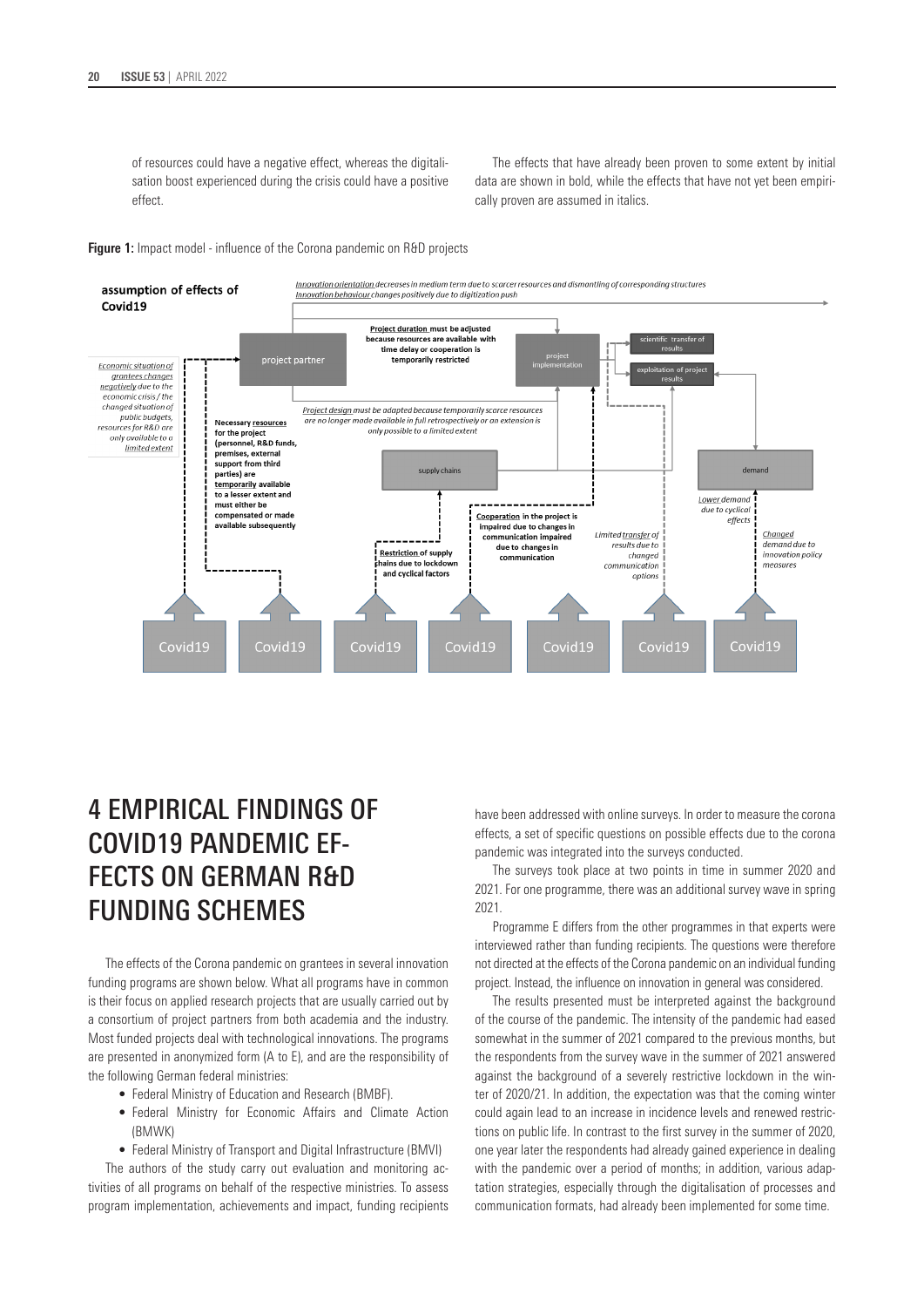of resources could have a negative effect, whereas the digitalisation boost experienced during the crisis could have a positive effect.

The effects that have already been proven to some extent by initial data are shown in bold, while the effects that have not yet been empirically proven are assumed in italics.

#### **Figure 1:** Impact model - influence of the Corona pandemic on R&D projects



# 4 EMPIRICAL FINDINGS OF COVID19 PANDEMIC EF-FECTS ON GERMAN R&D FUNDING SCHEMES

The effects of the Corona pandemic on grantees in several innovation funding programs are shown below. What all programs have in common is their focus on applied research projects that are usually carried out by a consortium of project partners from both academia and the industry. Most funded projects deal with technological innovations. The programs are presented in anonymized form (A to E), and are the responsibility of the following German federal ministries:

- Federal Ministry of Education and Research (BMBF).
- Federal Ministry for Economic Affairs and Climate Action (BMWK)
- Federal Ministry of Transport and Digital Infrastructure (BMVI)

The authors of the study carry out evaluation and monitoring activities of all programs on behalf of the respective ministries. To assess program implementation, achievements and impact, funding recipients have been addressed with online surveys. In order to measure the corona effects, a set of specific questions on possible effects due to the corona pandemic was integrated into the surveys conducted.

The surveys took place at two points in time in summer 2020 and 2021. For one programme, there was an additional survey wave in spring 2021.

Programme E differs from the other programmes in that experts were interviewed rather than funding recipients. The questions were therefore not directed at the effects of the Corona pandemic on an individual funding project. Instead, the influence on innovation in general was considered.

The results presented must be interpreted against the background of the course of the pandemic. The intensity of the pandemic had eased somewhat in the summer of 2021 compared to the previous months, but the respondents from the survey wave in the summer of 2021 answered against the background of a severely restrictive lockdown in the winter of 2020/21. In addition, the expectation was that the coming winter could again lead to an increase in incidence levels and renewed restrictions on public life. In contrast to the first survey in the summer of 2020, one year later the respondents had already gained experience in dealing with the pandemic over a period of months; in addition, various adaptation strategies, especially through the digitalisation of processes and communication formats, had already been implemented for some time.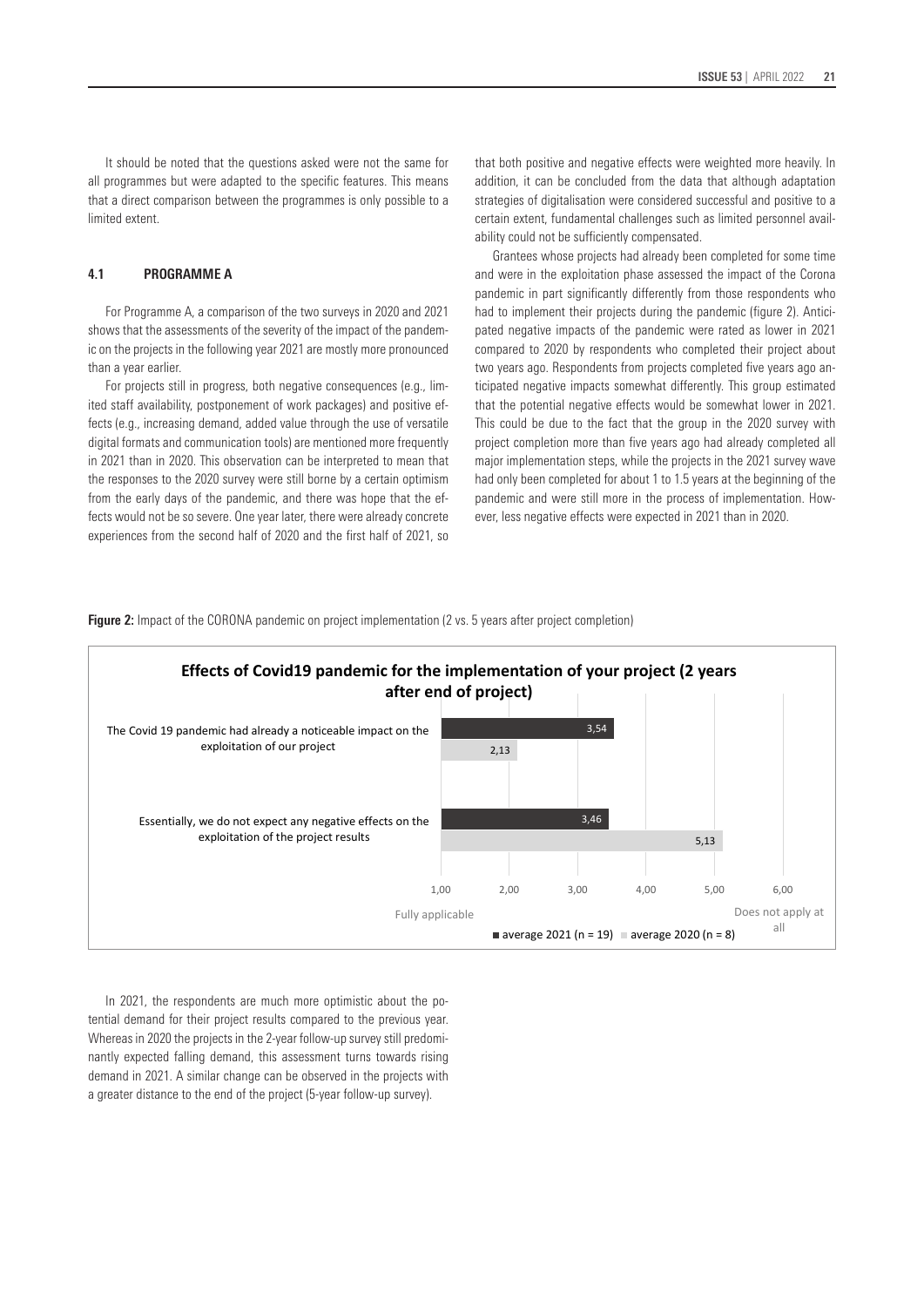It should be noted that the questions asked were not the same for all programmes but were adapted to the specific features. This means that a direct comparison between the programmes is only possible to a limited extent.

### **4.1 PROGRAMME A**

For Programme A, a comparison of the two surveys in 2020 and 2021 shows that the assessments of the severity of the impact of the pandemic on the projects in the following year 2021 are mostly more pronounced than a year earlier.

For projects still in progress, both negative consequences (e.g., limited staff availability, postponement of work packages) and positive effects (e.g., increasing demand, added value through the use of versatile digital formats and communication tools) are mentioned more frequently in 2021 than in 2020. This observation can be interpreted to mean that the responses to the 2020 survey were still borne by a certain optimism from the early days of the pandemic, and there was hope that the effects would not be so severe. One year later, there were already concrete experiences from the second half of 2020 and the first half of 2021, so

that both positive and negative effects were weighted more heavily. In addition, it can be concluded from the data that although adaptation strategies of digitalisation were considered successful and positive to a certain extent, fundamental challenges such as limited personnel availability could not be sufficiently compensated.

Grantees whose projects had already been completed for some time and were in the exploitation phase assessed the impact of the Corona pandemic in part significantly differently from those respondents who had to implement their projects during the pandemic (figure 2). Anticipated negative impacts of the pandemic were rated as lower in 2021 compared to 2020 by respondents who completed their project about two years ago. Respondents from projects completed five years ago anticipated negative impacts somewhat differently. This group estimated that the potential negative effects would be somewhat lower in 2021. This could be due to the fact that the group in the 2020 survey with project completion more than five years ago had already completed all major implementation steps, while the projects in the 2021 survey wave had only been completed for about 1 to 1.5 years at the beginning of the pandemic and were still more in the process of implementation. However, less negative effects were expected in 2021 than in 2020.

**Figure 2:** Impact of the CORONA pandemic on project implementation (2 vs. 5 years after project completion)



In 2021, the respondents are much more optimistic about the potential demand for their project results compared to the previous year. Whereas in 2020 the projects in the 2-year follow-up survey still predominantly expected falling demand, this assessment turns towards rising demand in 2021. A similar change can be observed in the projects with a greater distance to the end of the project (5-year follow-up survey).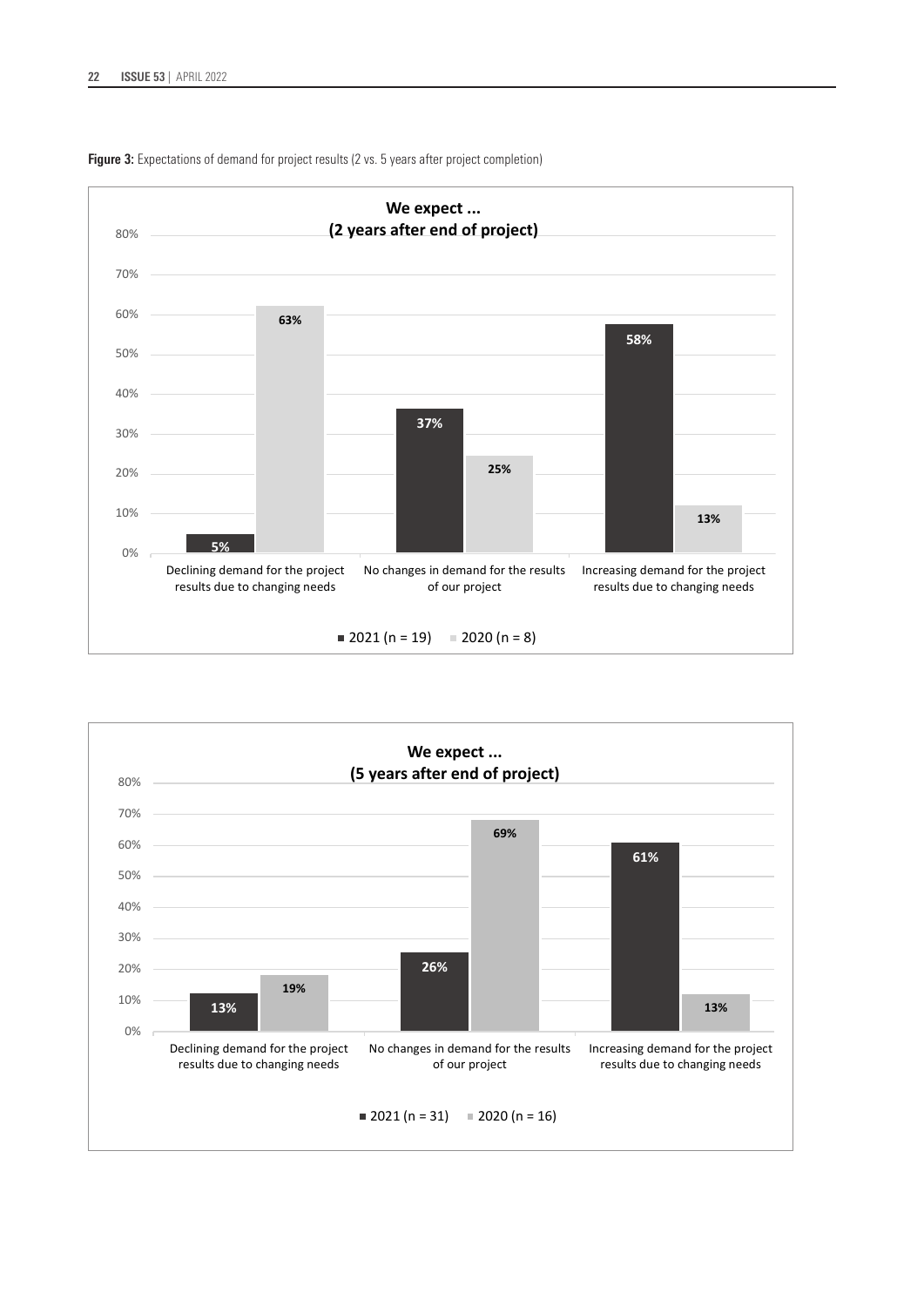

Figure 3: Expectations of demand for project results (2 vs. 5 years after project completion)

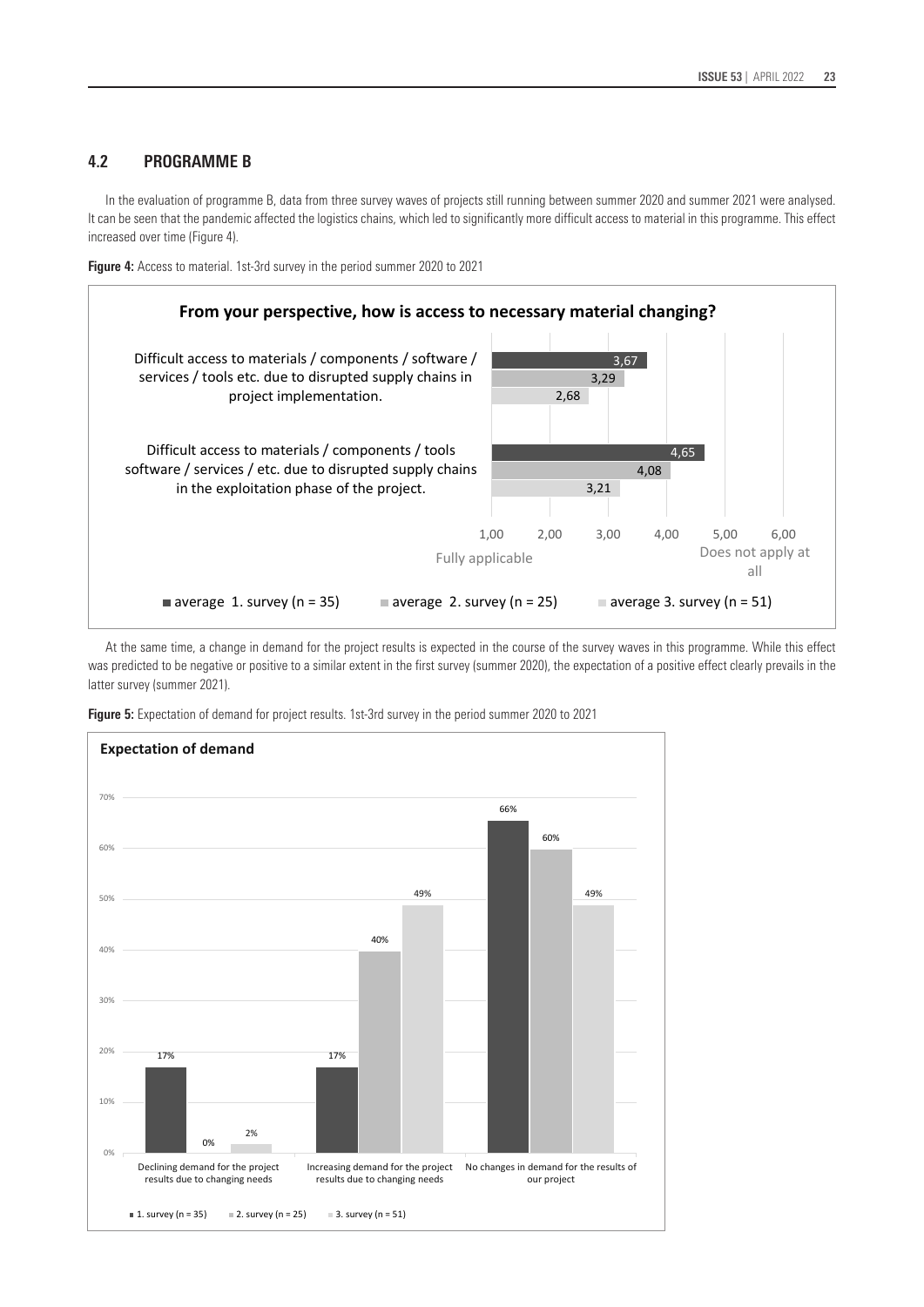# **4.2 PROGRAMME B**

In the evaluation of programme B, data from three survey waves of projects still running between summer 2020 and summer 2021 were analysed. It can be seen that the pandemic affected the logistics chains, which led to significantly more difficult access to material in this programme. This effect increased over time (Figure 4).



**Figure 4:** Access to material. 1st-3rd survey in the period summer 2020 to 2021

At the same time, a change in demand for the project results is expected in the course of the survey waves in this programme. While this effect was predicted to be negative or positive to a similar extent in the first survey (summer 2020), the expectation of a positive effect clearly prevails in the latter survey (summer 2021).



**Figure 5:** Expectation of demand for project results. 1st-3rd survey in the period summer 2020 to 2021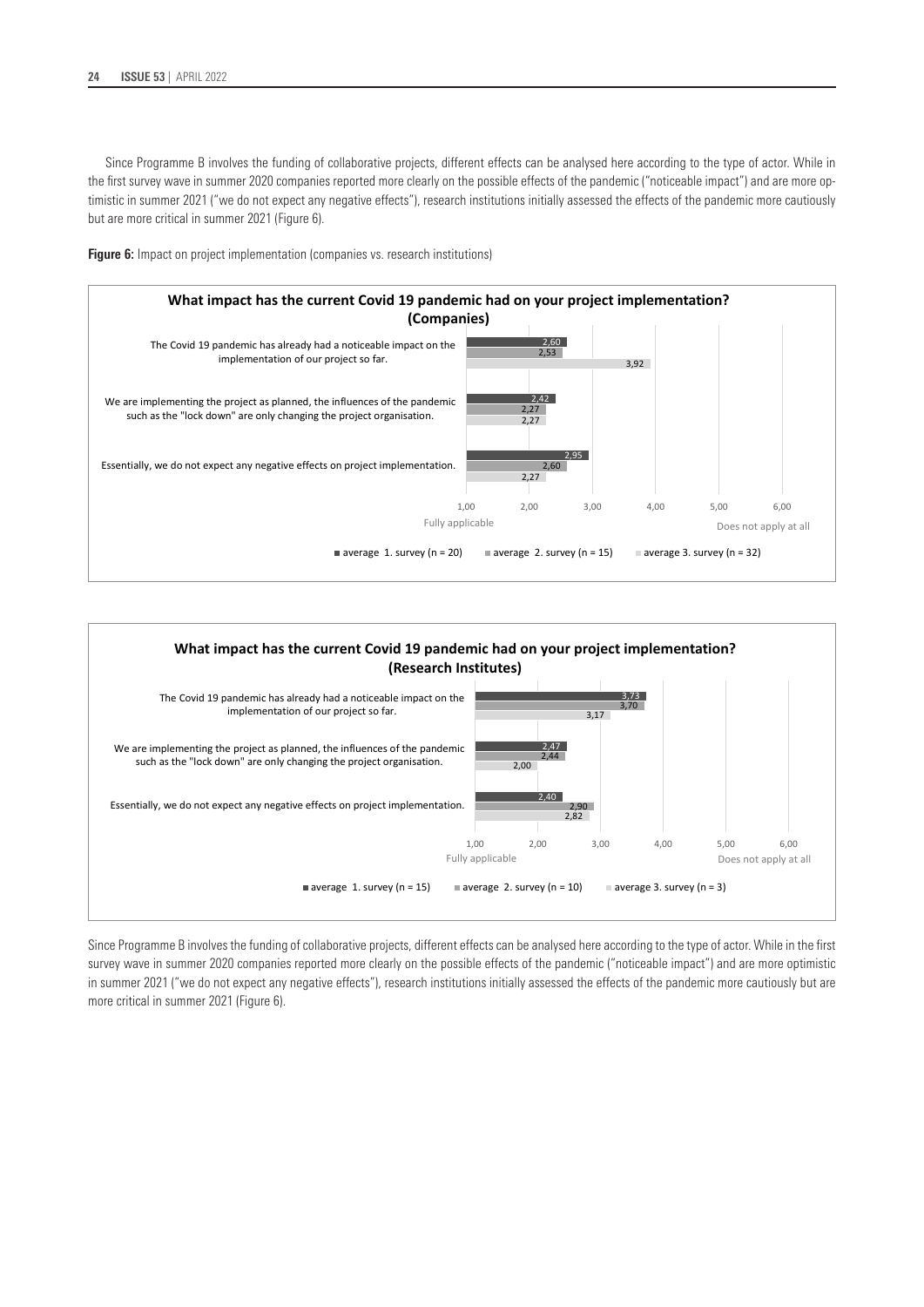Since Programme B involves the funding of collaborative projects, different effects can be analysed here according to the type of actor. While in the first survey wave in summer 2020 companies reported more clearly on the possible effects of the pandemic ("noticeable impact") and are more optimistic in summer 2021 ("we do not expect any negative effects"), research institutions initially assessed the effects of the pandemic more cautiously but are more critical in summer 2021 (Figure 6).







Since Programme B involves the funding of collaborative projects, different effects can be analysed here according to the type of actor. While in the first survey wave in summer 2020 companies reported more clearly on the possible effects of the pandemic ("noticeable impact") and are more optimistic in summer 2021 ("we do not expect any negative effects"), research institutions initially assessed the effects of the pandemic more cautiously but are more critical in summer 2021 (Figure 6).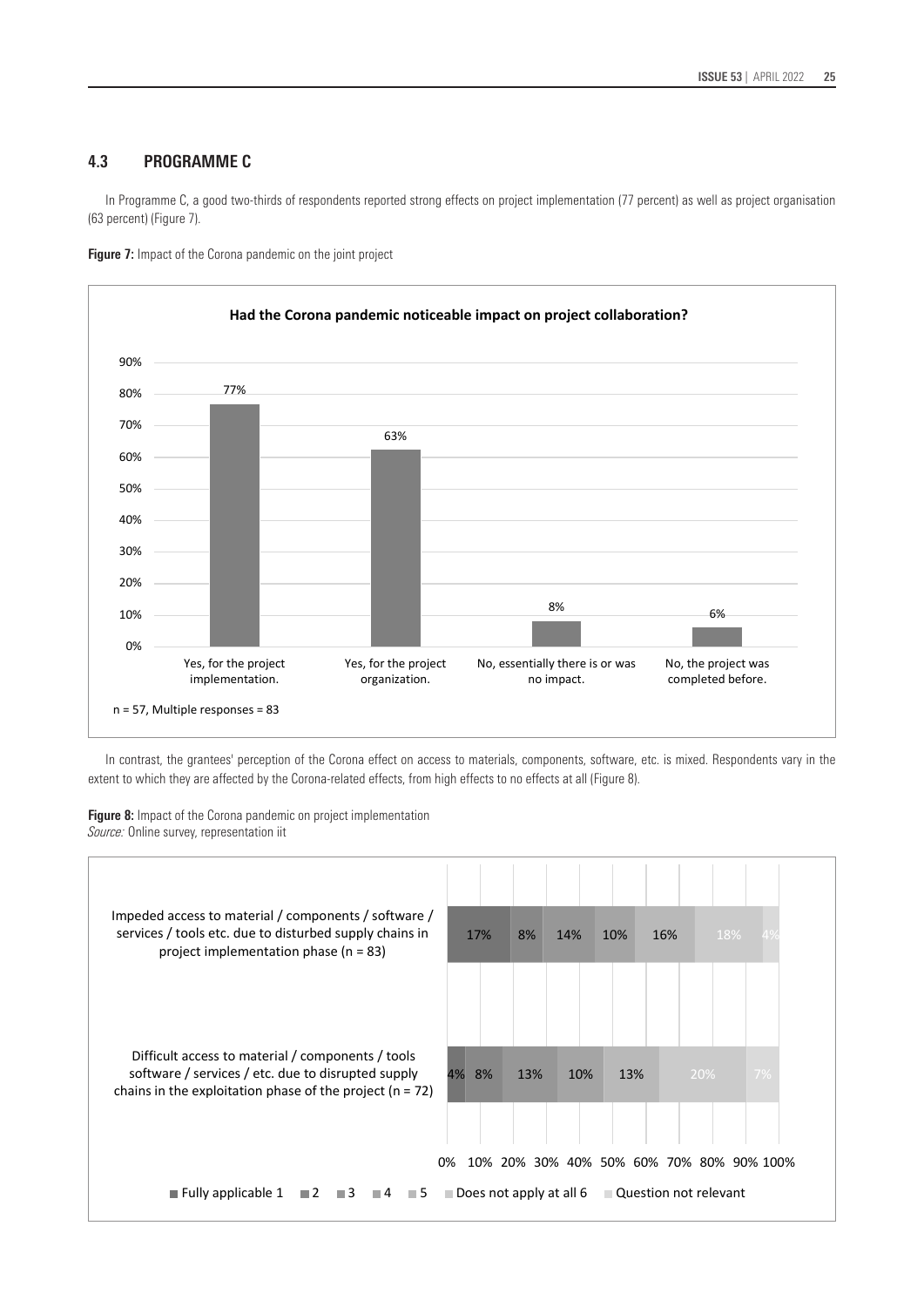### **4.3 PROGRAMME C**

In Programme C, a good two-thirds of respondents reported strong effects on project implementation (77 percent) as well as project organisation (63 percent) (Figure 7).



**Figure 7:** Impact of the Corona pandemic on the joint project

In contrast, the grantees' perception of the Corona effect on access to materials, components, software, etc. is mixed. Respondents vary in the extent to which they are affected by the Corona-related effects, from high effects to no effects at all (Figure 8).

**Figure 8:** Impact of the Corona pandemic on project implementation *Source:* Online survey, representation iit

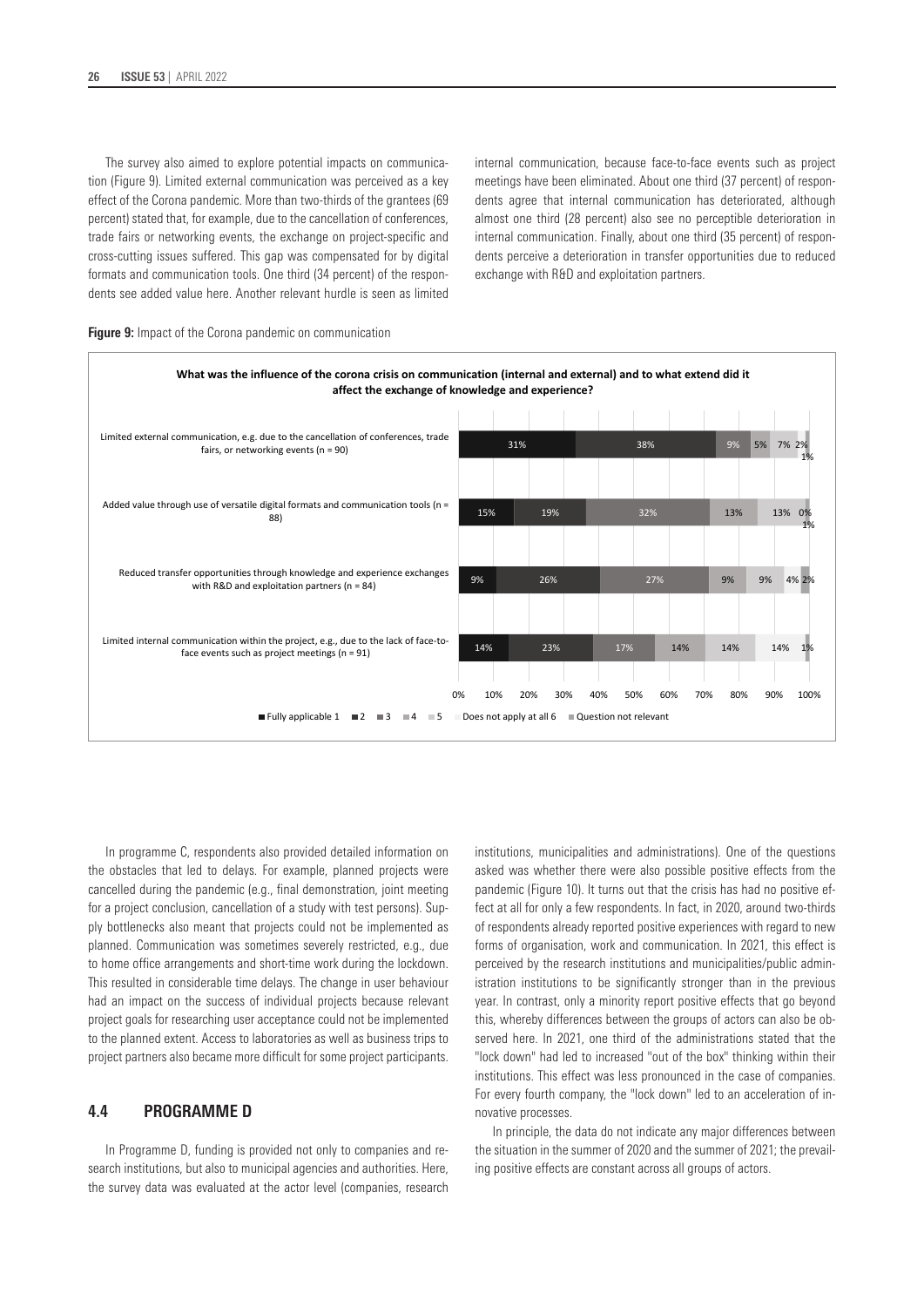The survey also aimed to explore potential impacts on communication (Figure 9). Limited external communication was perceived as a key effect of the Corona pandemic. More than two-thirds of the grantees (69 percent) stated that, for example, due to the cancellation of conferences, trade fairs or networking events, the exchange on project-specific and cross-cutting issues suffered. This gap was compensated for by digital formats and communication tools. One third (34 percent) of the respondents see added value here. Another relevant hurdle is seen as limited internal communication, because face-to-face events such as project meetings have been eliminated. About one third (37 percent) of respondents agree that internal communication has deteriorated, although almost one third (28 percent) also see no perceptible deterioration in internal communication. Finally, about one third (35 percent) of respondents perceive a deterioration in transfer opportunities due to reduced exchange with R&D and exploitation partners.



**Fully applicable 1 2 3 4 5 Does not apply at all 6 Question not relevant** 

#### **Figure 9:** Impact of the Corona pandemic on communication

In programme C, respondents also provided detailed information on the obstacles that led to delays. For example, planned projects were cancelled during the pandemic (e.g., final demonstration, joint meeting for a project conclusion, cancellation of a study with test persons). Supply bottlenecks also meant that projects could not be implemented as planned. Communication was sometimes severely restricted, e.g., due to home office arrangements and short-time work during the lockdown. This resulted in considerable time delays. The change in user behaviour had an impact on the success of individual projects because relevant project goals for researching user acceptance could not be implemented to the planned extent. Access to laboratories as well as business trips to project partners also became more difficult for some project participants.

### **4.4 PROGRAMME D**

In Programme D, funding is provided not only to companies and research institutions, but also to municipal agencies and authorities. Here, the survey data was evaluated at the actor level (companies, research institutions, municipalities and administrations). One of the questions asked was whether there were also possible positive effects from the pandemic (Figure 10). It turns out that the crisis has had no positive effect at all for only a few respondents. In fact, in 2020, around two-thirds of respondents already reported positive experiences with regard to new forms of organisation, work and communication. In 2021, this effect is perceived by the research institutions and municipalities/public administration institutions to be significantly stronger than in the previous year. In contrast, only a minority report positive effects that go beyond this, whereby differences between the groups of actors can also be observed here. In 2021, one third of the administrations stated that the "lock down" had led to increased "out of the box" thinking within their institutions. This effect was less pronounced in the case of companies. For every fourth company, the "lock down" led to an acceleration of innovative processes.

1%

1%

1%

In principle, the data do not indicate any major differences between the situation in the summer of 2020 and the summer of 2021; the prevailing positive effects are constant across all groups of actors.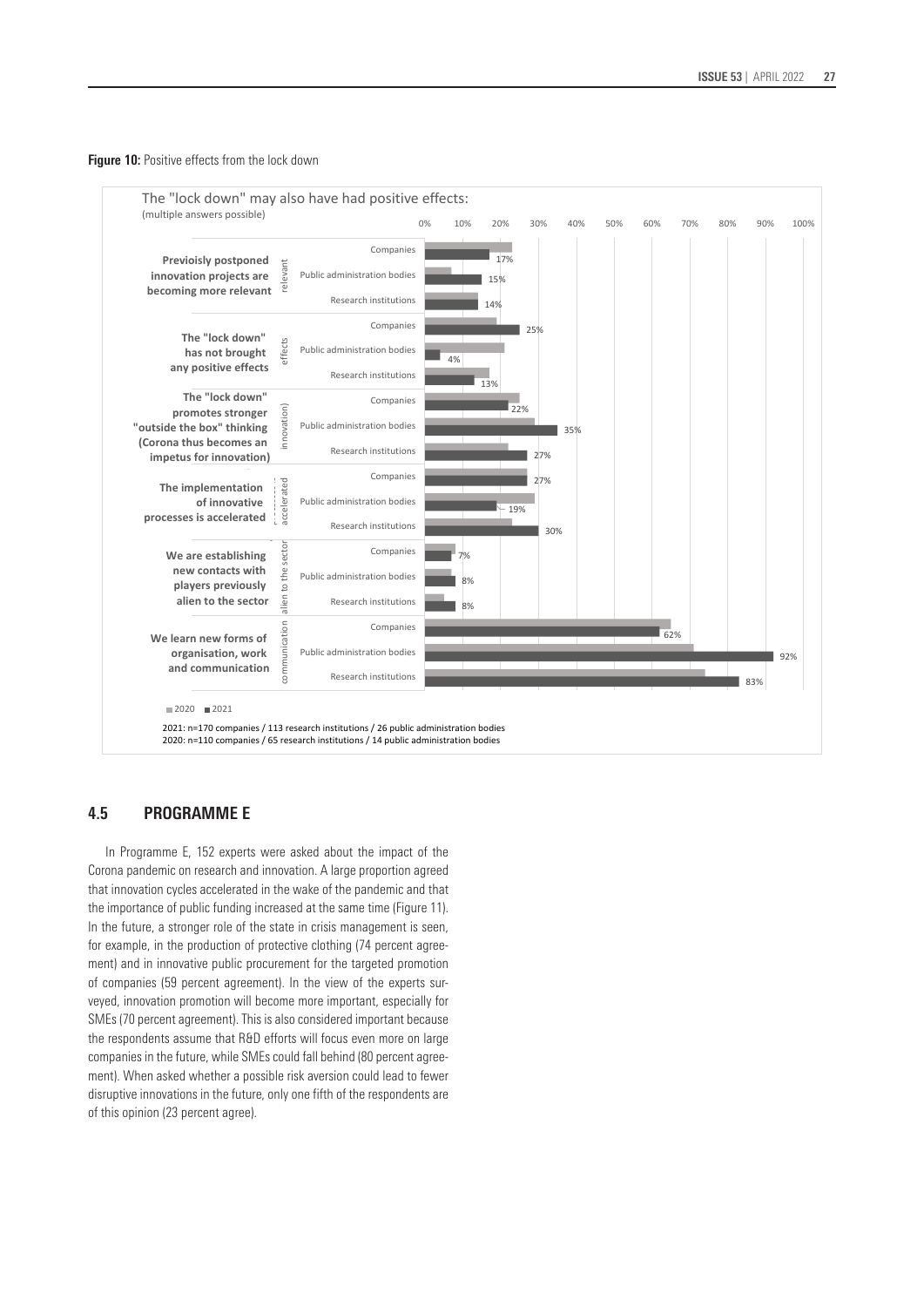#### **Figure 10:** Positive effects from the lock down



## **4.5 PROGRAMME E**

In Programme E, 152 experts were asked about the impact of the Corona pandemic on research and innovation. A large proportion agreed that innovation cycles accelerated in the wake of the pandemic and that the importance of public funding increased at the same time (Figure 11). In the future, a stronger role of the state in crisis management is seen, for example, in the production of protective clothing (74 percent agreement) and in innovative public procurement for the targeted promotion of companies (59 percent agreement). In the view of the experts surveyed, innovation promotion will become more important, especially for SMEs (70 percent agreement). This is also considered important because the respondents assume that R&D efforts will focus even more on large companies in the future, while SMEs could fall behind (80 percent agreement). When asked whether a possible risk aversion could lead to fewer disruptive innovations in the future, only one fifth of the respondents are of this opinion (23 percent agree).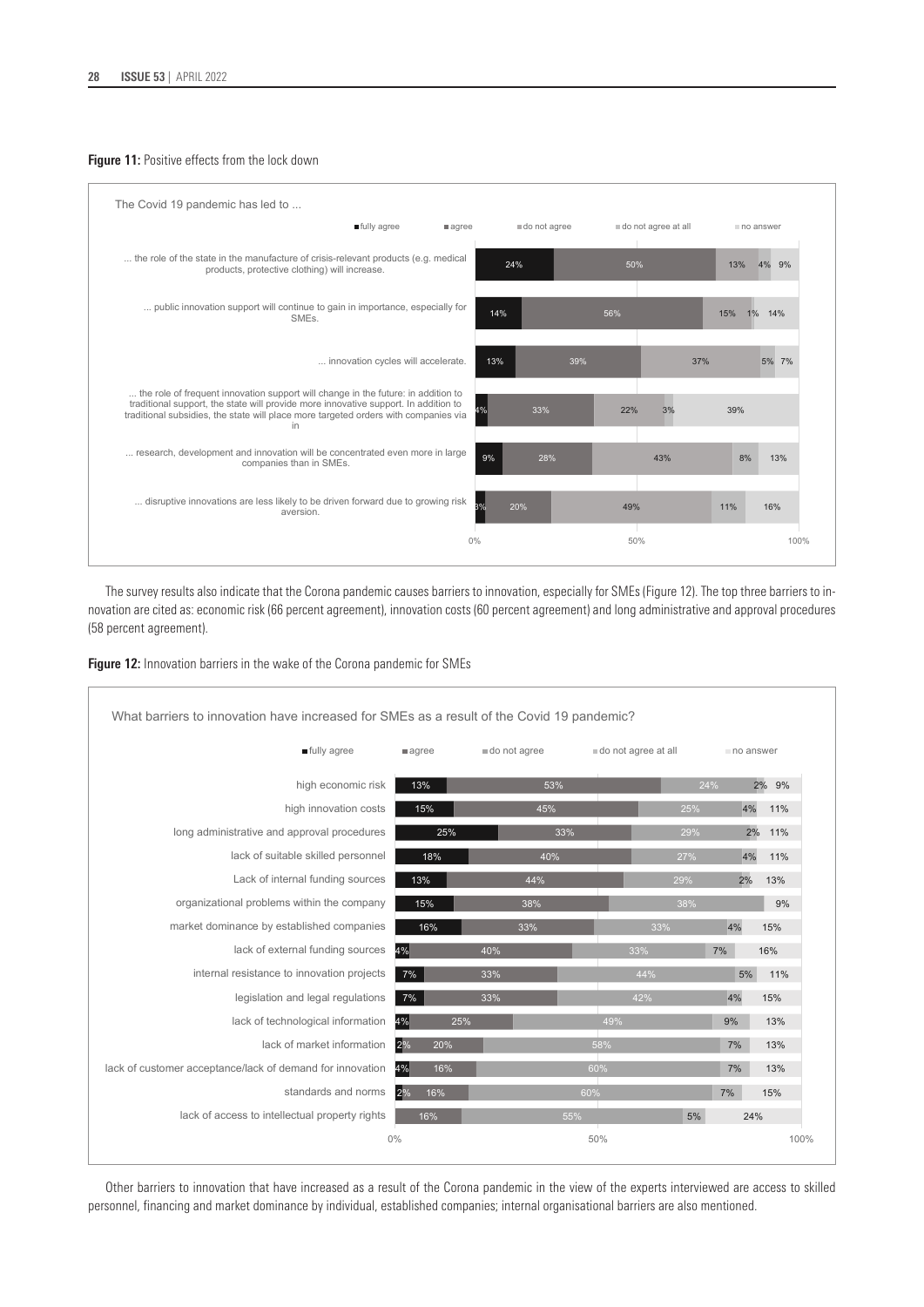### **Figure 11:** Positive effects from the lock down



The survey results also indicate that the Corona pandemic causes barriers to innovation, especially for SMEs (Figure 12). The top three barriers to innovation are cited as: economic risk (66 percent agreement), innovation costs (60 percent agreement) and long administrative and approval procedures (58 percent agreement).

**Figure 12:** Innovation barriers in the wake of the Corona pandemic for SMEs

| What barriers to innovation have increased for SMEs as a result of the Covid 19 pandemic? |           |              |                     |           |          |
|-------------------------------------------------------------------------------------------|-----------|--------------|---------------------|-----------|----------|
| fully agree                                                                               | $a$ agree | do not agree | do not agree at all | no answer |          |
| high economic risk                                                                        | 13%       | 53%          |                     | 24%       | 2%<br>9% |
| high innovation costs                                                                     | 15%       | 45%          | 25%                 | 4%        | 11%      |
| long administrative and approval procedures                                               | 25%       | 33%          | 29%                 | 2%        | 11%      |
| lack of suitable skilled personnel                                                        | 18%       | 40%          | 27%                 | 4%        | 11%      |
| Lack of internal funding sources                                                          | 13%       | 44%          | 29%                 | 2%        | 13%      |
| organizational problems within the company                                                | 15%       | 38%          | 38%                 |           | 9%       |
| market dominance by established companies                                                 | 16%       | 33%          | 33%                 | 4%        | 15%      |
| lack of external funding sources                                                          | 4%        | 40%          | 33%                 | 7%        | 16%      |
| internal resistance to innovation projects                                                | 7%        | 33%          | 44%                 | 5%        | 11%      |
| legislation and legal regulations                                                         | $7\%$     | 33%          | 42%                 | 4%        | 15%      |
| lack of technological information                                                         | 4%<br>25% |              | 49%                 | 9%        | 13%      |
| lack of market information                                                                | 2%<br>20% |              | 58%                 | 7%        | 13%      |
| lack of customer acceptance/lack of demand for innovation                                 | 4%<br>16% |              | 60%                 | 7%        | 13%      |
| standards and norms                                                                       | 2%<br>16% |              | 60%                 | 7%        | 15%      |
| lack of access to intellectual property rights                                            | 16%       | 55%          | 5%                  | 24%       |          |
|                                                                                           | 0%        |              | 50%                 |           | 100%     |

Other barriers to innovation that have increased as a result of the Corona pandemic in the view of the experts interviewed are access to skilled personnel, financing and market dominance by individual, established companies; internal organisational barriers are also mentioned.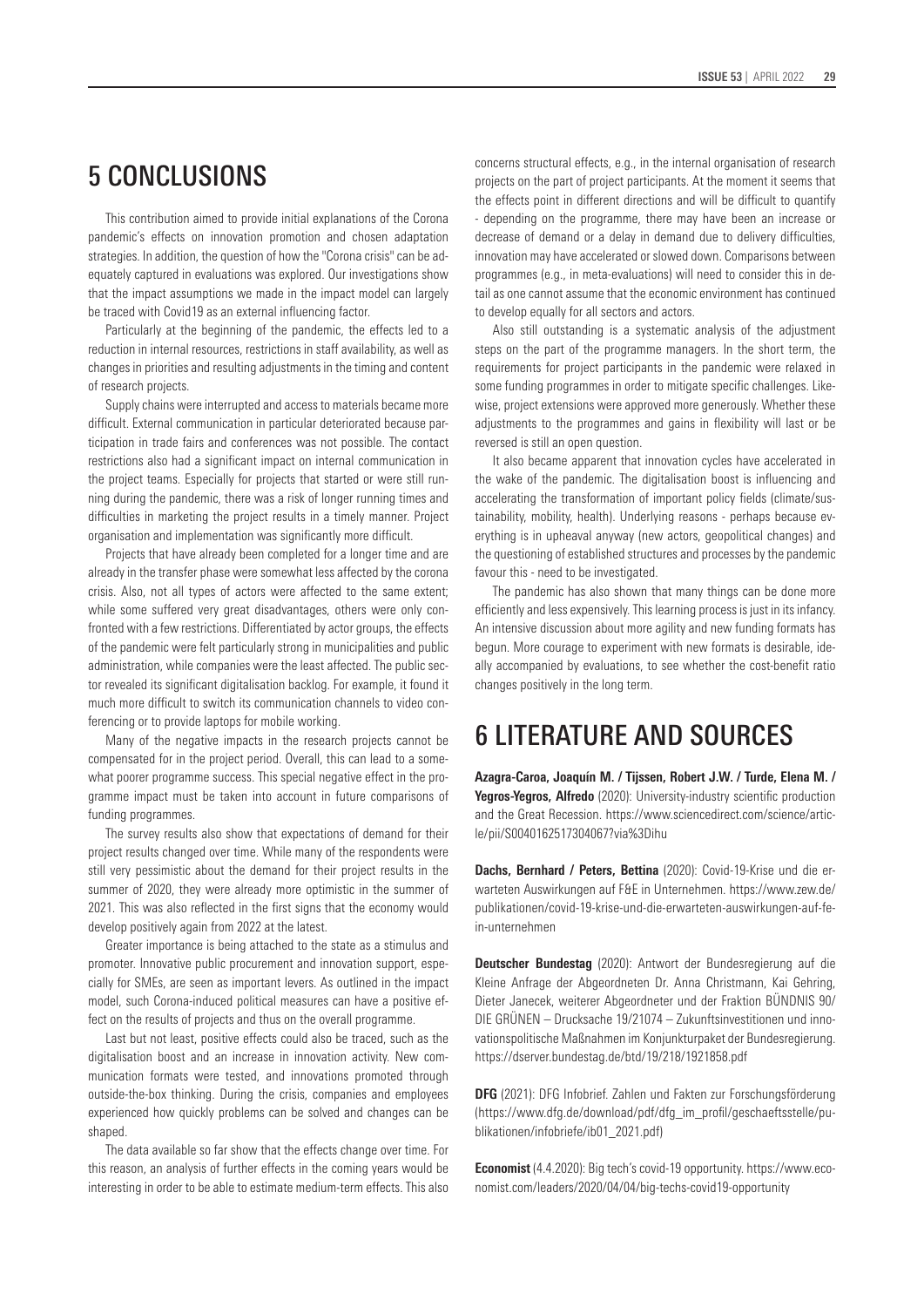# 5 CONCLUSIONS

This contribution aimed to provide initial explanations of the Corona pandemic's effects on innovation promotion and chosen adaptation strategies. In addition, the question of how the "Corona crisis" can be adequately captured in evaluations was explored. Our investigations show that the impact assumptions we made in the impact model can largely be traced with Covid19 as an external influencing factor.

Particularly at the beginning of the pandemic, the effects led to a reduction in internal resources, restrictions in staff availability, as well as changes in priorities and resulting adjustments in the timing and content of research projects.

Supply chains were interrupted and access to materials became more difficult. External communication in particular deteriorated because participation in trade fairs and conferences was not possible. The contact restrictions also had a significant impact on internal communication in the project teams. Especially for projects that started or were still running during the pandemic, there was a risk of longer running times and difficulties in marketing the project results in a timely manner. Project organisation and implementation was significantly more difficult.

Projects that have already been completed for a longer time and are already in the transfer phase were somewhat less affected by the corona crisis. Also, not all types of actors were affected to the same extent; while some suffered very great disadvantages, others were only confronted with a few restrictions. Differentiated by actor groups, the effects of the pandemic were felt particularly strong in municipalities and public administration, while companies were the least affected. The public sector revealed its significant digitalisation backlog. For example, it found it much more difficult to switch its communication channels to video conferencing or to provide laptops for mobile working.

Many of the negative impacts in the research projects cannot be compensated for in the project period. Overall, this can lead to a somewhat poorer programme success. This special negative effect in the programme impact must be taken into account in future comparisons of funding programmes.

The survey results also show that expectations of demand for their project results changed over time. While many of the respondents were still very pessimistic about the demand for their project results in the summer of 2020, they were already more optimistic in the summer of 2021. This was also reflected in the first signs that the economy would develop positively again from 2022 at the latest.

Greater importance is being attached to the state as a stimulus and promoter. Innovative public procurement and innovation support, especially for SMEs, are seen as important levers. As outlined in the impact model, such Corona-induced political measures can have a positive effect on the results of projects and thus on the overall programme.

Last but not least, positive effects could also be traced, such as the digitalisation boost and an increase in innovation activity. New communication formats were tested, and innovations promoted through outside-the-box thinking. During the crisis, companies and employees experienced how quickly problems can be solved and changes can be shaped.

The data available so far show that the effects change over time. For this reason, an analysis of further effects in the coming years would be interesting in order to be able to estimate medium-term effects. This also concerns structural effects, e.g., in the internal organisation of research projects on the part of project participants. At the moment it seems that the effects point in different directions and will be difficult to quantify - depending on the programme, there may have been an increase or decrease of demand or a delay in demand due to delivery difficulties, innovation may have accelerated or slowed down. Comparisons between programmes (e.g., in meta-evaluations) will need to consider this in detail as one cannot assume that the economic environment has continued to develop equally for all sectors and actors.

Also still outstanding is a systematic analysis of the adjustment steps on the part of the programme managers. In the short term, the requirements for project participants in the pandemic were relaxed in some funding programmes in order to mitigate specific challenges. Likewise, project extensions were approved more generously. Whether these adjustments to the programmes and gains in flexibility will last or be reversed is still an open question.

It also became apparent that innovation cycles have accelerated in the wake of the pandemic. The digitalisation boost is influencing and accelerating the transformation of important policy fields (climate/sustainability, mobility, health). Underlying reasons - perhaps because everything is in upheaval anyway (new actors, geopolitical changes) and the questioning of established structures and processes by the pandemic favour this - need to be investigated.

The pandemic has also shown that many things can be done more efficiently and less expensively. This learning process is just in its infancy. An intensive discussion about more agility and new funding formats has begun. More courage to experiment with new formats is desirable, ideally accompanied by evaluations, to see whether the cost-benefit ratio changes positively in the long term.

# 6 LITERATURE AND SOURCES

**Azagra-Caroa, Joaquín M. / Tijssen, Robert J.W. / Turde, Elena M. / Yegros-Yegros, Alfredo** (2020): University-industry scientific production and the Great Recession. https://www.sciencedirect.com/science/article/pii/S0040162517304067?via%3Dihu

**Dachs, Bernhard / Peters, Bettina** (2020): Covid-19-Krise und die erwarteten Auswirkungen auf F&E in Unternehmen. https://www.zew.de/ publikationen/covid-19-krise-und-die-erwarteten-auswirkungen-auf-fein-unternehmen

**Deutscher Bundestag** (2020): Antwort der Bundesregierung auf die Kleine Anfrage der Abgeordneten Dr. Anna Christmann, Kai Gehring, Dieter Janecek, weiterer Abgeordneter und der Fraktion BÜNDNIS 90/ DIE GRÜNEN – Drucksache 19/21074 – Zukunftsinvestitionen und innovationspolitische Maßnahmen im Konjunkturpaket der Bundesregierung. https://dserver.bundestag.de/btd/19/218/1921858.pdf

**DFG** (2021): DFG Infobrief. Zahlen und Fakten zur Forschungsförderung [\(https://www.dfg.de/download/pdf/dfg\\_im\\_profil/geschaeftsstelle/pu](https://www.dfg.de/download/pdf/dfg_im_profil/geschaeftsstelle/publikationen/infobriefe/ib01_2021.pdf)[blikationen/infobriefe/ib01\\_2021.pdf](https://www.dfg.de/download/pdf/dfg_im_profil/geschaeftsstelle/publikationen/infobriefe/ib01_2021.pdf))

**Economist** (4.4.2020): Big tech's covid-19 opportunity. [https://www.eco](https://www.economist.com/leaders/2020/04/04/big-techs-covid-19-opportunity)[nomist.com/leaders/2020/04/04/big-techs-covid19-opportunity](https://www.economist.com/leaders/2020/04/04/big-techs-covid-19-opportunity)